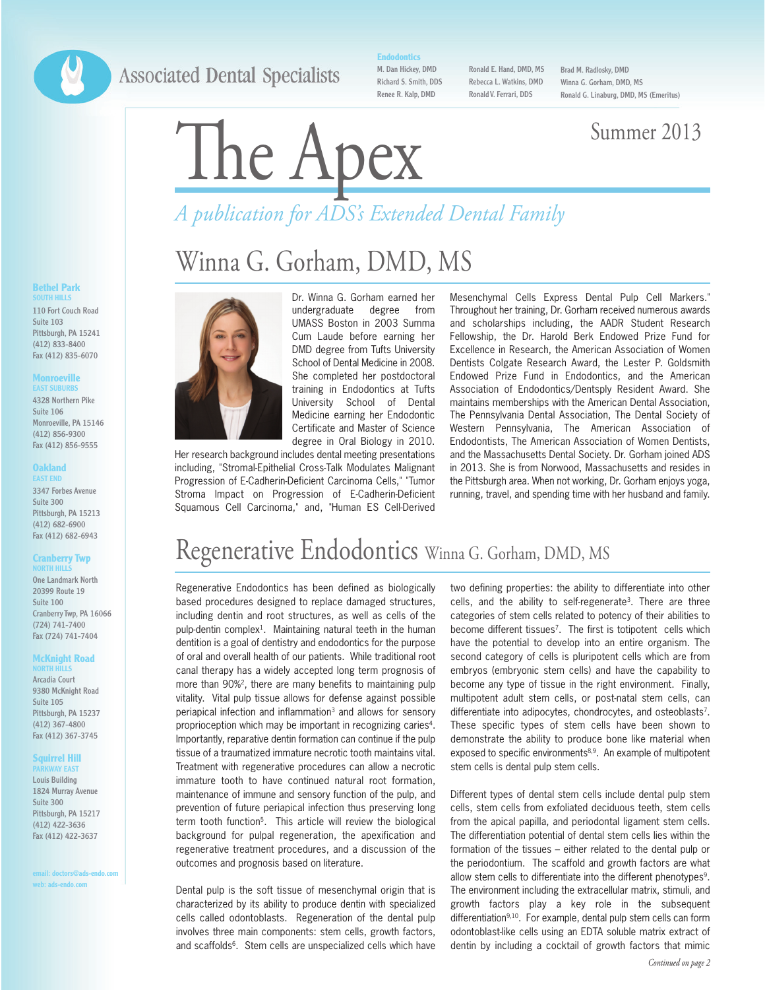## **Associated Dental Specialists**

**Endodontics**

M. Dan Hickey, DMD Richard S. Smith, DDS Renee R. Kalp, DMD

Ronald E. Hand, DMD, MS Rebecca L. Watkins, DMD Ronald V. Ferrari, DDS

Brad M. Radlosky, DMD Winna G. Gorham, DMD, MS Ronald G. Linaburg, DMD, MS (Emeritus)

# The Apex Summer 2013

# *A publication for ADS's Extended Dental Family*

# Winna G. Gorham, DMD, MS



**EAST SUBURBS** 4328 Northern Pike Suite 106 Monroeville, PA 15146 (412) 856-9300 Fax (412) 856-9555

**Bethel Park SOUTH HILLS** 110 Fort Couch Road Suite 103 Pittsburgh, PA 15241 (412) 833-8400 Fax (412) 835-6070

**Monroeville**

#### **Oakland EAST END**

3347 Forbes Avenue Suite 300 Pittsburgh, PA 15213 (412) 682-6900 Fax (412) 682-6943

#### **Cranberry Twp NORTH HILLS**

One Landmark North 20399 Route 19 Suite 100 Cranberry Twp, PA 16066 (724) 741-7400 Fax (724) 741-7404

#### **McKnight Road**

**NORTH HILLS** Arcadia Court 9380 McKnight Road Suite 105 Pittsburgh, PA 15237 (412) 367-4800 Fax (412) 367-3745

#### **Squirrel Hill**

**WAY EAST** Louis Building 1824 Murray Avenue Suite 300 Pittsburgh, PA 15217 (412) 422-3636 Fax (412) 422-3637

**email: doctors@ads-endo.com web: ads-endo.com**



University School of Dental Medicine earning her Endodontic Certificate and Master of Science degree in Oral Biology in 2010. Her research background includes dental meeting presentations including, "Stromal-Epithelial Cross-Talk Modulates Malignant

Progression of E-Cadherin-Deficient Carcinoma Cells," "Tumor Stroma Impact on Progression of E-Cadherin-Deficient Squamous Cell Carcinoma," and, "Human ES Cell-Derived

Mesenchymal Cells Express Dental Pulp Cell Markers." Throughout her training, Dr. Gorham received numerous awards and scholarships including, the AADR Student Research Fellowship, the Dr. Harold Berk Endowed Prize Fund for Excellence in Research, the American Association of Women Dentists Colgate Research Award, the Lester P. Goldsmith Endowed Prize Fund in Endodontics, and the American Association of Endodontics/Dentsply Resident Award. She maintains memberships with the American Dental Association, The Pennsylvania Dental Association, The Dental Society of Western Pennsylvania, The American Association of Endodontists, The American Association of Women Dentists, and the Massachusetts Dental Society. Dr. Gorham joined ADS in 2013. She is from Norwood, Massachusetts and resides in the Pittsburgh area. When not working, Dr. Gorham enjoys yoga, running, travel, and spending time with her husband and family.

# Regenerative Endodontics Winna G. Gorham, DMD, MS

Regenerative Endodontics has been defined as biologically based procedures designed to replace damaged structures, including dentin and root structures, as well as cells of the pulp-dentin complex<sup>1</sup>. Maintaining natural teeth in the human dentition is a goal of dentistry and endodontics for the purpose of oral and overall health of our patients. While traditional root canal therapy has a widely accepted long term prognosis of more than 90%2, there are many benefits to maintaining pulp vitality. Vital pulp tissue allows for defense against possible periapical infection and inflammation<sup>3</sup> and allows for sensory proprioception which may be important in recognizing caries<sup>4</sup>. Importantly, reparative dentin formation can continue if the pulp tissue of a traumatized immature necrotic tooth maintains vital. Treatment with regenerative procedures can allow a necrotic immature tooth to have continued natural root formation, maintenance of immune and sensory function of the pulp, and prevention of future periapical infection thus preserving long term tooth function<sup>5</sup>. This article will review the biological background for pulpal regeneration, the apexification and regenerative treatment procedures, and a discussion of the outcomes and prognosis based on literature.

Dental pulp is the soft tissue of mesenchymal origin that is characterized by its ability to produce dentin with specialized cells called odontoblasts. Regeneration of the dental pulp involves three main components: stem cells, growth factors, and scaffolds<sup>6</sup>. Stem cells are unspecialized cells which have

two defining properties: the ability to differentiate into other cells, and the ability to self-regenerate3. There are three categories of stem cells related to potency of their abilities to become different tissues<sup>7</sup>. The first is totipotent cells which have the potential to develop into an entire organism. The second category of cells is pluripotent cells which are from embryos (embryonic stem cells) and have the capability to become any type of tissue in the right environment. Finally, multipotent adult stem cells, or post-natal stem cells, can differentiate into adipocytes, chondrocytes, and osteoblasts<sup>7</sup>. These specific types of stem cells have been shown to demonstrate the ability to produce bone like material when exposed to specific environments<sup>8,9</sup>. An example of multipotent stem cells is dental pulp stem cells.

Different types of dental stem cells include dental pulp stem cells, stem cells from exfoliated deciduous teeth, stem cells from the apical papilla, and periodontal ligament stem cells. The differentiation potential of dental stem cells lies within the formation of the tissues – either related to the dental pulp or the periodontium. The scaffold and growth factors are what allow stem cells to differentiate into the different phenotypes<sup>9</sup>. The environment including the extracellular matrix, stimuli, and growth factors play a key role in the subsequent differentiation<sup>9,10</sup>. For example, dental pulp stem cells can form odontoblast-like cells using an EDTA soluble matrix extract of dentin by including a cocktail of growth factors that mimic

#### *Continued on page 2*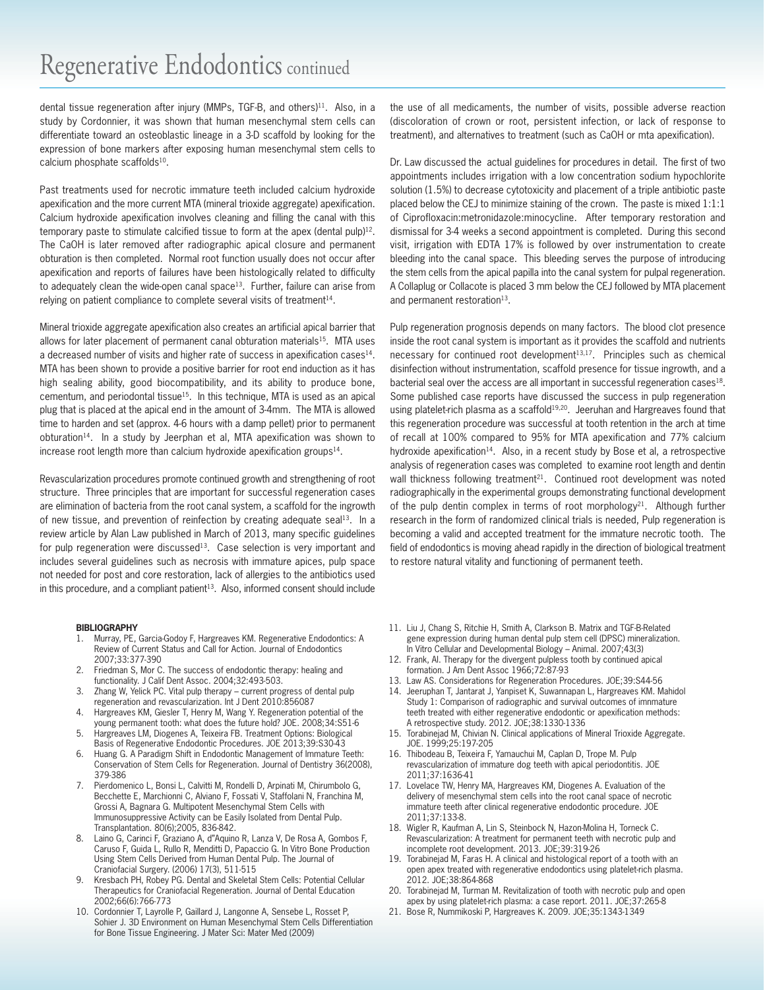dental tissue regeneration after injury (MMPs, TGF-B, and others)<sup>11</sup>. Also, in a study by Cordonnier, it was shown that human mesenchymal stem cells can differentiate toward an osteoblastic lineage in a 3-D scaffold by looking for the expression of bone markers after exposing human mesenchymal stem cells to calcium phosphate scaffolds<sup>10</sup>.

Past treatments used for necrotic immature teeth included calcium hydroxide apexification and the more current MTA (mineral trioxide aggregate) apexification. Calcium hydroxide apexification involves cleaning and filling the canal with this temporary paste to stimulate calcified tissue to form at the apex (dental pulp)<sup>12</sup>. The CaOH is later removed after radiographic apical closure and permanent obturation is then completed. Normal root function usually does not occur after apexification and reports of failures have been histologically related to difficulty to adequately clean the wide-open canal space<sup>13</sup>. Further, failure can arise from relying on patient compliance to complete several visits of treatment<sup>14</sup>.

Mineral trioxide aggregate apexification also creates an artificial apical barrier that allows for later placement of permanent canal obturation materials<sup>15</sup>. MTA uses a decreased number of visits and higher rate of success in apexification cases<sup>14</sup>. MTA has been shown to provide a positive barrier for root end induction as it has high sealing ability, good biocompatibility, and its ability to produce bone, cementum, and periodontal tissue15. In this technique, MTA is used as an apical plug that is placed at the apical end in the amount of 3-4mm. The MTA is allowed time to harden and set (approx. 4-6 hours with a damp pellet) prior to permanent obturation<sup>14</sup>. In a study by Jeerphan et al, MTA apexification was shown to increase root length more than calcium hydroxide apexification groups<sup>14</sup>.

Revascularization procedures promote continued growth and strengthening of root structure. Three principles that are important for successful regeneration cases are elimination of bacteria from the root canal system, a scaffold for the ingrowth of new tissue, and prevention of reinfection by creating adequate seal<sup>13</sup>. In a review article by Alan Law published in March of 2013, many specific guidelines for pulp regeneration were discussed<sup>13</sup>. Case selection is very important and includes several guidelines such as necrosis with immature apices, pulp space not needed for post and core restoration, lack of allergies to the antibiotics used in this procedure, and a compliant patient<sup>13</sup>. Also, informed consent should include

#### **BIBLIOGRAPHY**

- 1. Murray, PE, Garcia-Godoy F, Hargreaves KM. Regenerative Endodontics: A Review of Current Status and Call for Action. Journal of Endodontics 2007;33:377-390
- 2. Friedman S, Mor C. The success of endodontic therapy: healing and functionality. J Calif Dent Assoc. 2004;32:493-503.
- 3. Zhang W, Yelick PC. Vital pulp therapy current progress of dental pulp regeneration and revascularization. Int J Dent 2010:856087
- 4. Hargreaves KM, Giesler T, Henry M, Wang Y. Regeneration potential of the young permanent tooth: what does the future hold? JOE. 2008;34:S51-6
- 5. Hargreaves LM, Diogenes A, Teixeira FB. Treatment Options: Biological Basis of Regenerative Endodontic Procedures. JOE 2013;39:S30-43
- 6. Huang G. A Paradigm Shift in Endodontic Management of Immature Teeth: Conservation of Stem Cells for Regeneration. Journal of Dentistry 36(2008), 379-386
- 7. Pierdomenico L, Bonsi L, Calvitti M, Rondelli D, Arpinati M, Chirumbolo G, Becchette E, Marchionni C, Alviano F, Fossati V, Staffolani N, Franchina M, Grossi A, Bagnara G. Multipotent Mesenchymal Stem Cells with Immunosuppressive Activity can be Easily Isolated from Dental Pulp. Transplantation. 80(6);2005, 836-842.
- Laino G, Carinci F, Graziano A, d"Aquino R, Lanza V, De Rosa A, Gombos F, Caruso F, Guida L, Rullo R, Menditti D, Papaccio G. In Vitro Bone Production Using Stem Cells Derived from Human Dental Pulp. The Journal of Craniofacial Surgery. (2006) 17(3), 511-515
- 9. Kresbach PH, Robey PG. Dental and Skeletal Stem Cells: Potential Cellular Therapeutics for Craniofacial Regeneration. Journal of Dental Education 2002;66(6):766-773
- 10. Cordonnier T, Layrolle P, Gaillard J, Langonne A, Sensebe L, Rosset P, Sohier J. 3D Environment on Human Mesenchymal Stem Cells Differentiation for Bone Tissue Engineering. J Mater Sci: Mater Med (2009)

the use of all medicaments, the number of visits, possible adverse reaction (discoloration of crown or root, persistent infection, or lack of response to treatment), and alternatives to treatment (such as CaOH or mta apexification).

Dr. Law discussed the actual guidelines for procedures in detail. The first of two appointments includes irrigation with a low concentration sodium hypochlorite solution (1.5%) to decrease cytotoxicity and placement of a triple antibiotic paste placed below the CEJ to minimize staining of the crown. The paste is mixed 1:1:1 of Ciprofloxacin:metronidazole:minocycline. After temporary restoration and dismissal for 3-4 weeks a second appointment is completed. During this second visit, irrigation with EDTA 17% is followed by over instrumentation to create bleeding into the canal space. This bleeding serves the purpose of introducing the stem cells from the apical papilla into the canal system for pulpal regeneration. A Collaplug or Collacote is placed 3 mm below the CEJ followed by MTA placement and permanent restoration<sup>13</sup>.

Pulp regeneration prognosis depends on many factors. The blood clot presence inside the root canal system is important as it provides the scaffold and nutrients necessary for continued root development<sup>13,17</sup>. Principles such as chemical disinfection without instrumentation, scaffold presence for tissue ingrowth, and a bacterial seal over the access are all important in successful regeneration cases<sup>18</sup>. Some published case reports have discussed the success in pulp regeneration using platelet-rich plasma as a scaffold<sup>19,20</sup>. Jeeruhan and Hargreaves found that this regeneration procedure was successful at tooth retention in the arch at time of recall at 100% compared to 95% for MTA apexification and 77% calcium hydroxide apexification<sup>14</sup>. Also, in a recent study by Bose et al, a retrospective analysis of regeneration cases was completed to examine root length and dentin wall thickness following treatment<sup>21</sup>. Continued root development was noted radiographically in the experimental groups demonstrating functional development of the pulp dentin complex in terms of root morphology<sup>21</sup>. Although further research in the form of randomized clinical trials is needed, Pulp regeneration is becoming a valid and accepted treatment for the immature necrotic tooth. The field of endodontics is moving ahead rapidly in the direction of biological treatment to restore natural vitality and functioning of permanent teeth.

- 11. Liu J, Chang S, Ritchie H, Smith A, Clarkson B. Matrix and TGF-B-Related gene expression during human dental pulp stem cell (DPSC) mineralization. In Vitro Cellular and Developmental Biology – Animal. 2007;43(3)
- 12. Frank, Al. Therapy for the divergent pulpless tooth by continued apical formation. J Am Dent Assoc 1966;72:87-93
- 13. Law AS. Considerations for Regeneration Procedures. JOE;39:S44-56
- 14. Jeeruphan T, Jantarat J, Yanpiset K, Suwannapan L, Hargreaves KM. Mahidol Study 1: Comparison of radiographic and survival outcomes of imnmature teeth treated with either regenerative endodontic or apexification methods: A retrospective study. 2012. JOE;38:1330-1336
- 15. Torabinejad M, Chivian N. Clinical applications of Mineral Trioxide Aggregate. JOE. 1999;25:197-205
- 16. Thibodeau B, Teixeira F, Yamauchui M, Caplan D, Trope M. Pulp revascularization of immature dog teeth with apical periodontitis. JOE 2011;37:1636-41
- 17. Lovelace TW, Henry MA, Hargreaves KM, Diogenes A. Evaluation of the delivery of mesenchymal stem cells into the root canal space of necrotic immature teeth after clinical regenerative endodontic procedure. JOE 2011;37:133-8.
- 18. Wigler R, Kaufman A, Lin S, Steinbock N, Hazon-Molina H, Torneck C. Revascularization: A treatment for permanent teeth with necrotic pulp and incomplete root development. 2013. JOE;39:319-26
- 19. Torabinejad M, Faras H. A clinical and histological report of a tooth with an open apex treated with regenerative endodontics using platelet-rich plasma. 2012. JOE;38:864-868
- 20. Torabinejad M, Turman M. Revitalization of tooth with necrotic pulp and open apex by using platelet-rich plasma: a case report. 2011. JOE;37:265-8
- 21. Bose R, Nummikoski P, Hargreaves K. 2009. JOE;35:1343-1349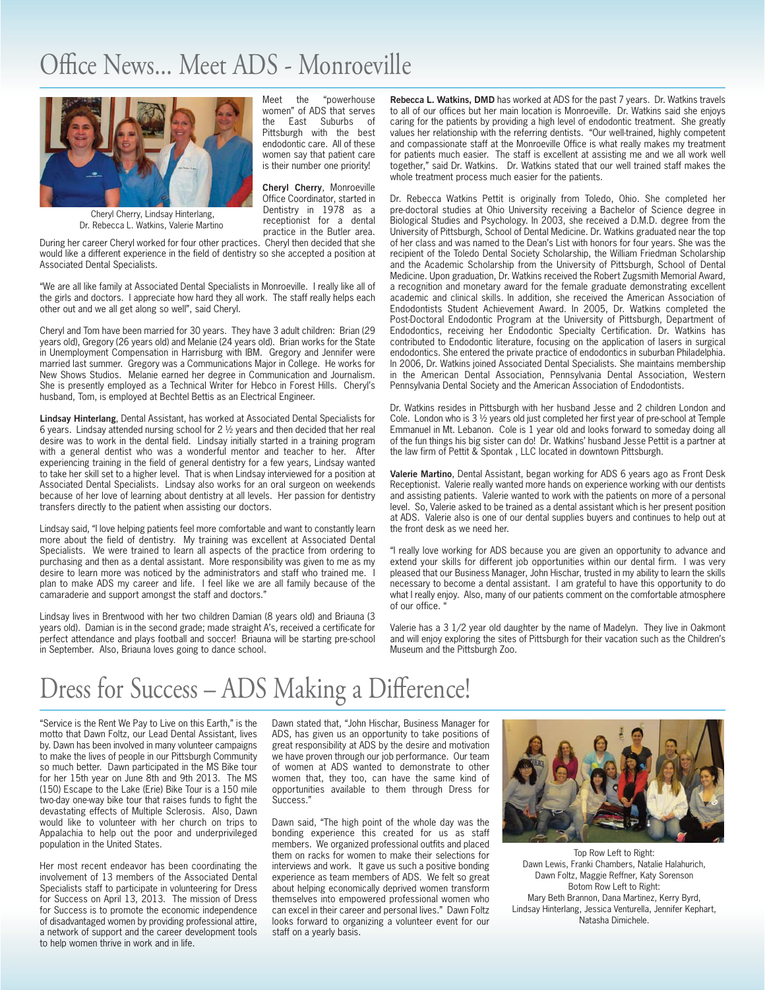# Office News... Meet ADS - Monroeville Office News... Meet ADS - Monroeville

Meet the "powerhouse women" of ADS that serves<br>the East Suburbs of

Pittsburgh with the best endodontic care. All of these women say that patient care is their number one priority! **Cheryl Cherry**, Monroeville Office Coordinator, started in Dentistry in 1978 as a receptionist for a dental practice in the Butler area.

Suburbs of



Cheryl Cherry, Lindsay Hinterlang, Dr. Rebecca L. Watkins, Valerie Martino

During her career Cheryl worked for four other practices. Cheryl then decided that she would like a different experience in the field of dentistry so she accepted a position at Associated Dental Specialists.

"We are all like family at Associated Dental Specialists in Monroeville. I really like all of the girls and doctors. I appreciate how hard they all work. The staff really helps each other out and we all get along so well", said Cheryl.

Cheryl and Tom have been married for 30 years. They have 3 adult children: Brian (29 years old), Gregory (26 years old) and Melanie (24 years old). Brian works for the State in Unemployment Compensation in Harrisburg with IBM. Gregory and Jennifer were married last summer. Gregory was a Communications Major in College. He works for New Shows Studios. Melanie earned her degree in Communication and Journalism. She is presently employed as a Technical Writer for Hebco in Forest Hills. Cheryl's husband, Tom, is employed at Bechtel Bettis as an Electrical Engineer.

**Lindsay Hinterlang**, Dental Assistant, has worked at Associated Dental Specialists for 6 years. Lindsay attended nursing school for  $2\frac{1}{2}$  years and then decided that her real desire was to work in the dental field. Lindsay initially started in a training program with a general dentist who was a wonderful mentor and teacher to her. After experiencing training in the field of general dentistry for a few years, Lindsay wanted to take her skill set to a higher level. That is when Lindsay interviewed for a position at Associated Dental Specialists. Lindsay also works for an oral surgeon on weekends because of her love of learning about dentistry at all levels. Her passion for dentistry transfers directly to the patient when assisting our doctors.

Lindsay said, "I love helping patients feel more comfortable and want to constantly learn more about the field of dentistry. My training was excellent at Associated Dental Specialists. We were trained to learn all aspects of the practice from ordering to purchasing and then as a dental assistant. More responsibility was given to me as my desire to learn more was noticed by the administrators and staff who trained me. I plan to make ADS my career and life. I feel like we are all family because of the camaraderie and support amongst the staff and doctors."

Lindsay lives in Brentwood with her two children Damian (8 years old) and Briauna (3 years old). Damian is in the second grade; made straight A's, received a certificate for perfect attendance and plays football and soccer! Briauna will be starting pre-school in September. Also, Briauna loves going to dance school.

**Rebecca L. Watkins, DMD** has worked at ADS for the past 7 years. Dr. Watkins travels to all of our offices but her main location is Monroeville. Dr. Watkins said she enjoys caring for the patients by providing a high level of endodontic treatment. She greatly values her relationship with the referring dentists. "Our well-trained, highly competent and compassionate staff at the Monroeville Office is what really makes my treatment for patients much easier. The staff is excellent at assisting me and we all work well together," said Dr. Watkins. Dr. Watkins stated that our well trained staff makes the whole treatment process much easier for the patients.

Dr. Rebecca Watkins Pettit is originally from Toledo, Ohio. She completed her pre-doctoral studies at Ohio University receiving a Bachelor of Science degree in Biological Studies and Psychology. In 2003, she received a D.M.D. degree from the University of Pittsburgh, School of Dental Medicine. Dr. Watkins graduated near the top of her class and was named to the Dean's List with honors for four years. She was the recipient of the Toledo Dental Society Scholarship, the William Friedman Scholarship and the Academic Scholarship from the University of Pittsburgh, School of Dental Medicine. Upon graduation, Dr. Watkins received the Robert Zugsmith Memorial Award, a recognition and monetary award for the female graduate demonstrating excellent academic and clinical skills. In addition, she received the American Association of Endodontists Student Achievement Award. In 2005, Dr. Watkins completed the Post-Doctoral Endodontic Program at the University of Pittsburgh, Department of Endodontics, receiving her Endodontic Specialty Certification. Dr. Watkins has contributed to Endodontic literature, focusing on the application of lasers in surgical endodontics. She entered the private practice of endodontics in suburban Philadelphia. In 2006, Dr. Watkins joined Associated Dental Specialists. She maintains membership in the American Dental Association, Pennsylvania Dental Association, Western Pennsylvania Dental Society and the American Association of Endodontists.

Dr. Watkins resides in Pittsburgh with her husband Jesse and 2 children London and Cole. London who is 3 ½ years old just completed her first year of pre-school at Temple Emmanuel in Mt. Lebanon. Cole is 1 year old and looks forward to someday doing all of the fun things his big sister can do! Dr. Watkins' husband Jesse Pettit is a partner at the law firm of Pettit & Spontak , LLC located in downtown Pittsburgh.

**Valerie Martino**, Dental Assistant, began working for ADS 6 years ago as Front Desk Receptionist. Valerie really wanted more hands on experience working with our dentists and assisting patients. Valerie wanted to work with the patients on more of a personal level. So, Valerie asked to be trained as a dental assistant which is her present position at ADS. Valerie also is one of our dental supplies buyers and continues to help out at the front desk as we need her.

"I really love working for ADS because you are given an opportunity to advance and extend your skills for different job opportunities within our dental firm. I was very pleased that our Business Manager, John Hischar, trusted in my ability to learn the skills necessary to become a dental assistant. I am grateful to have this opportunity to do what I really enjoy. Also, many of our patients comment on the comfortable atmosphere of our office. "

Valerie has a 3 1/2 year old daughter by the name of Madelyn. They live in Oakmont and will enjoy exploring the sites of Pittsburgh for their vacation such as the Children's Museum and the Pittsburgh Zoo.

# Dress for Success - ADS Making a Difference!

"Service is the Rent We Pay to Live on this Earth," is the motto that Dawn Foltz, our Lead Dental Assistant, lives by. Dawn has been involved in many volunteer campaigns to make the lives of people in our Pittsburgh Community so much better. Dawn participated in the MS Bike tour for her 15th year on June 8th and 9th 2013. The MS (150) Escape to the Lake (Erie) Bike Tour is a 150 mile two-day one-way bike tour that raises funds to fight the devastating effects of Multiple Sclerosis. Also, Dawn would like to volunteer with her church on trips to Appalachia to help out the poor and underprivileged population in the United States.

Her most recent endeavor has been coordinating the involvement of 13 members of the Associated Dental Specialists staff to participate in volunteering for Dress for Success on April 13, 2013. The mission of Dress for Success is to promote the economic independence of disadvantaged women by providing professional attire, a network of support and the career development tools to help women thrive in work and in life.

Dawn stated that, "John Hischar, Business Manager for ADS, has given us an opportunity to take positions of great responsibility at ADS by the desire and motivation we have proven through our job performance. Our team of women at ADS wanted to demonstrate to other women that, they too, can have the same kind of opportunities available to them through Dress for Success."

Dawn said, "The high point of the whole day was the bonding experience this created for us as staff members. We organized professional outfits and placed them on racks for women to make their selections for interviews and work. It gave us such a positive bonding experience as team members of ADS. We felt so great about helping economically deprived women transform themselves into empowered professional women who can excel in their career and personal lives." Dawn Foltz looks forward to organizing a volunteer event for our staff on a yearly basis.



Top Row Left to Right: Dawn Lewis, Franki Chambers, Natalie Halahurich, Dawn Foltz, Maggie Reffner, Katy Sorenson Botom Row Left to Right: Mary Beth Brannon, Dana Martinez, Kerry Byrd, Lindsay Hinterlang, Jessica Venturella, Jennifer Kephart, Natasha Dimichele.